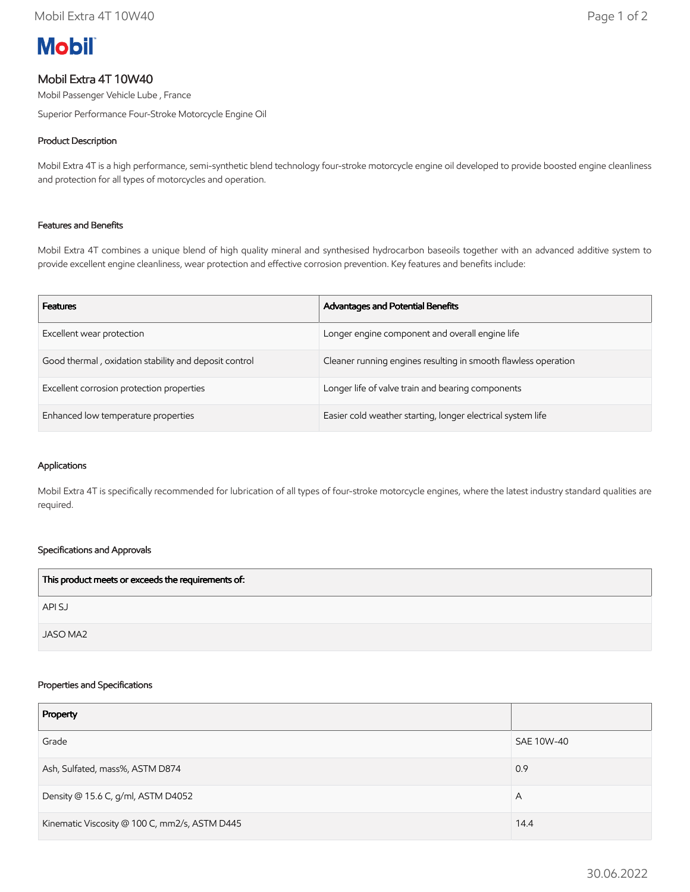# **Mobil**

# Mobil Extra 4T 10W40

Mobil Passenger Vehicle Lube , France

Superior Performance Four-Stroke Motorcycle Engine Oil

# Product Description

Mobil Extra 4T is a high performance, semi-synthetic blend technology four-stroke motorcycle engine oil developed to provide boosted engine cleanliness and protection for all types of motorcycles and operation.

## Features and Benefits

Mobil Extra 4T combines a unique blend of high quality mineral and synthesised hydrocarbon baseoils together with an advanced additive system to provide excellent engine cleanliness, wear protection and effective corrosion prevention. Key features and benefits include:

| <b>Features</b>                                       | <b>Advantages and Potential Benefits</b>                       |
|-------------------------------------------------------|----------------------------------------------------------------|
| Excellent wear protection                             | Longer engine component and overall engine life                |
| Good thermal, oxidation stability and deposit control | Cleaner running engines resulting in smooth flawless operation |
| Excellent corrosion protection properties             | Longer life of valve train and bearing components              |
| Enhanced low temperature properties                   | Easier cold weather starting, longer electrical system life    |

#### Applications

Mobil Extra 4T is specifically recommended for lubrication of all types of four-stroke motorcycle engines, where the latest industry standard qualities are required.

## Specifications and Approvals

| This product meets or exceeds the requirements of: |  |
|----------------------------------------------------|--|
| API SJ                                             |  |
| JASO MA2                                           |  |

#### Properties and Specifications

| Property                                      |            |
|-----------------------------------------------|------------|
| Grade                                         | SAE 10W-40 |
| Ash, Sulfated, mass%, ASTM D874               | 0.9        |
| Density @ 15.6 C, g/ml, ASTM D4052            | A          |
| Kinematic Viscosity @ 100 C, mm2/s, ASTM D445 | 14.4       |